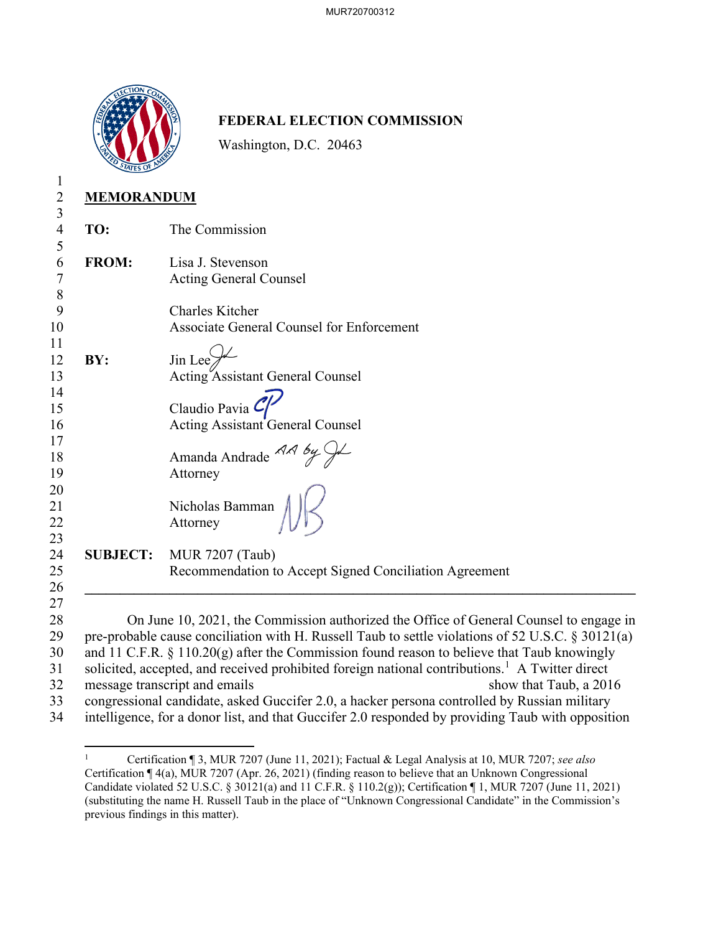

## **FEDERAL ELECTION COMMISSION**

Washington, D.C. 20463

| MEMORANDUM |
|------------|

| TO:             | The Commission                                         |
|-----------------|--------------------------------------------------------|
|                 |                                                        |
| <b>FROM:</b>    | Lisa J. Stevenson                                      |
|                 | Acting General Counsel                                 |
|                 |                                                        |
|                 | <b>Charles Kitcher</b>                                 |
|                 | Associate General Counsel for Enforcement              |
|                 |                                                        |
| BY:             | Jin Lee $\mathcal{V}$                                  |
|                 | <b>Acting Assistant General Counsel</b>                |
|                 | Claudio Pavia $\mathcal C$                             |
|                 | Acting Assistant General Counsel                       |
|                 | Amanda Andrade $\mathcal{AA}$ by $\mathcal{A}$         |
|                 |                                                        |
|                 | Attorney                                               |
|                 | Nicholas Bamman                                        |
|                 | Attorney                                               |
|                 |                                                        |
| <b>SUBJECT:</b> | <b>MUR 7207 (Taub)</b>                                 |
|                 | Recommendation to Accept Signed Conciliation Agreement |
|                 |                                                        |

eral Counsel to engage in 29 pre-probable cause conciliation with H. Russell Taub to settle violations of 52 U.S.C. § 30121(a) 30 and 11 C.F.R. § 110.20(g) after the Commission found reason to believe that Taub knowingly 31 solicited, accepted, and received prohibited foreign national contributions.<sup>1</sup> A Twitter direct 32 message transcript and emails show that Taub, a 2016 33 congressional candidate, asked Guccifer 2.0, a hacker persona controlled by Russian military 34 intelligence, for a donor list, and that Guccifer 2.0 responded by providing Taub with opposition

<sup>1</sup> Certification ¶ 3, MUR 7207 (June 11, 2021); Factual & Legal Analysis at 10, MUR 7207; *see also*  Certification ¶ 4(a), MUR 7207 (Apr. 26, 2021) (finding reason to believe that an Unknown Congressional Candidate violated 52 U.S.C. § 30121(a) and 11 C.F.R. § 110.2(g)); Certification ¶ 1, MUR 7207 (June 11, 2021) (substituting the name H. Russell Taub in the place of "Unknown Congressional Candidate" in the Commission's previous findings in this matter).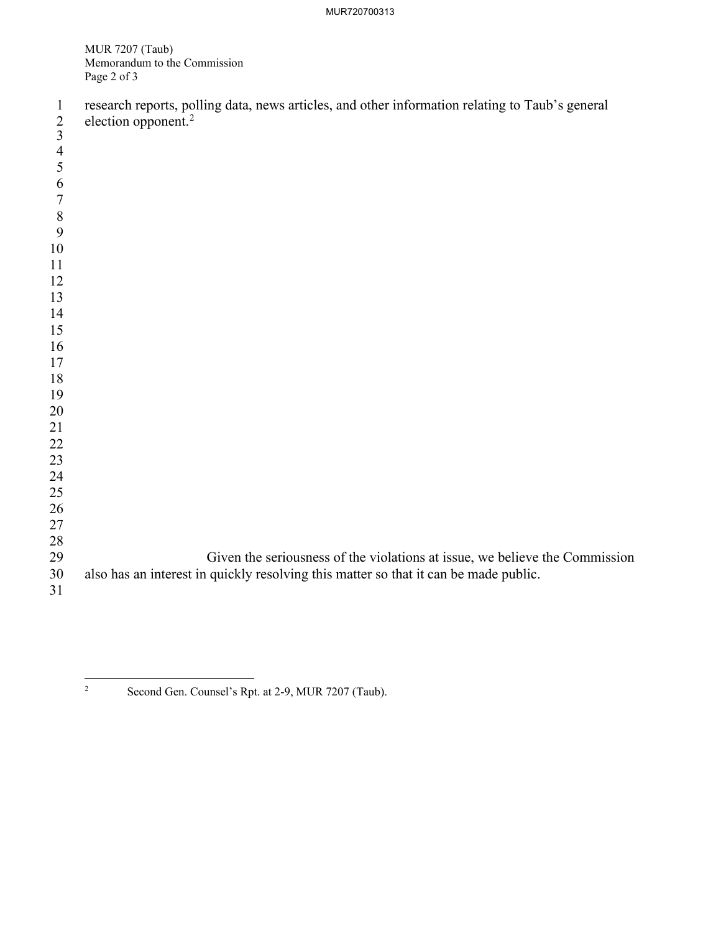MUR 7207 (Taub) Memorandum to the Commission Page 2 of 3

| $\mathbf{1}$<br>$\overline{2}$<br>$\overline{3}$ | research reports, polling data, news articles, and other information relating to Taub's general<br>election opponent. <sup>2</sup> |
|--------------------------------------------------|------------------------------------------------------------------------------------------------------------------------------------|
|                                                  |                                                                                                                                    |
| $\overline{4}$<br>5                              |                                                                                                                                    |
| 6                                                |                                                                                                                                    |
| $\overline{7}$                                   |                                                                                                                                    |
| 8                                                |                                                                                                                                    |
| 9                                                |                                                                                                                                    |
| 10                                               |                                                                                                                                    |
| 11                                               |                                                                                                                                    |
| 12                                               |                                                                                                                                    |
| 13                                               |                                                                                                                                    |
| 14                                               |                                                                                                                                    |
| 15                                               |                                                                                                                                    |
| 16                                               |                                                                                                                                    |
| 17                                               |                                                                                                                                    |
| $18\,$                                           |                                                                                                                                    |
| 19                                               |                                                                                                                                    |
| 20<br>21                                         |                                                                                                                                    |
| 22                                               |                                                                                                                                    |
| 23                                               |                                                                                                                                    |
| 24                                               |                                                                                                                                    |
| 25                                               |                                                                                                                                    |
| 26                                               |                                                                                                                                    |
| 27                                               |                                                                                                                                    |
| 28                                               |                                                                                                                                    |
| 29                                               | Given the seriousness of the violations at issue, we believe the Commission                                                        |
| 30<br>31                                         | also has an interest in quickly resolving this matter so that it can be made public.                                               |
|                                                  |                                                                                                                                    |

Second Gen. Counsel's Rpt. at 2-9, MUR 7207 (Taub).